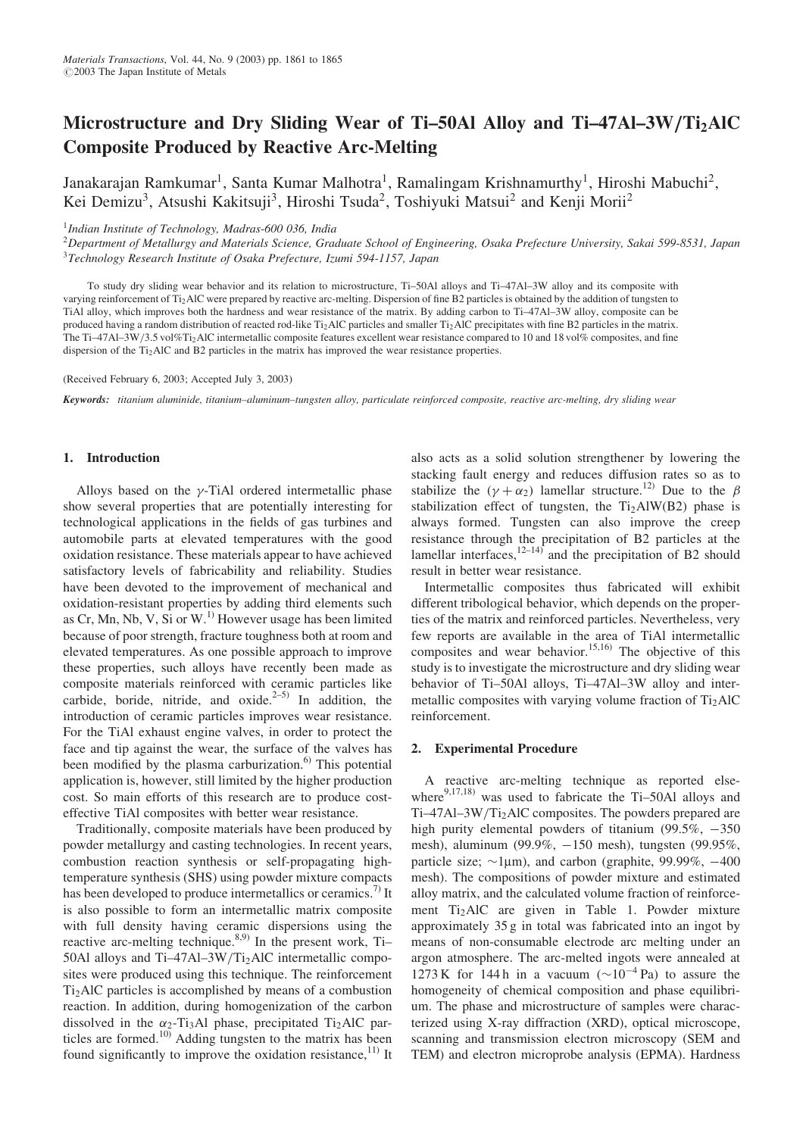# Microstructure and Dry Sliding Wear of Ti–50Al Alloy and Ti–47Al–3W/Ti*2*AlC Composite Produced by Reactive Arc-Melting

Janakarajan Ramkumar<sup>1</sup>, Santa Kumar Malhotra<sup>1</sup>, Ramalingam Krishnamurthy<sup>1</sup>, Hiroshi Mabuchi<sup>2</sup>, Kei Demizu<sup>3</sup>, Atsushi Kakitsuji<sup>3</sup>, Hiroshi Tsuda<sup>2</sup>, Toshiyuki Matsui<sup>2</sup> and Kenji Morii<sup>2</sup>

# $1$ Indian Institute of Technology, Madras-600 036, India

 $2$ Department of Metallurgy and Materials Science, Graduate School of Engineering, Osaka Prefecture University, Sakai 599-8531, Japan <sup>3</sup>Technology Research Institute of Osaka Prefecture, Izumi 594-1157, Japan

To study dry sliding wear behavior and its relation to microstructure, Ti–50Al alloys and Ti–47Al–3W alloy and its composite with varying reinforcement of Ti<sub>2</sub>AlC were prepared by reactive arc-melting. Dispersion of fine B2 particles is obtained by the addition of tungsten to TiAl alloy, which improves both the hardness and wear resistance of the matrix. By adding carbon to Ti–47Al–3W alloy, composite can be produced having a random distribution of reacted rod-like Ti<sub>2</sub>AlC particles and smaller T<sub>i2</sub>AlC precipitates with fine B2 particles in the matrix. The Ti–47Al–3W/3.5 vol%Ti<sub>2</sub>AlC intermetallic composite features excellent wear resistance compared to 10 and 18 vol% composites, and fine dispersion of the T<sub>12</sub>AlC and B2 particles in the matrix has improved the wear resistance properties.

#### (Received February 6, 2003; Accepted July 3, 2003)

Keywords: titanium aluminide, titanium–aluminum–tungsten alloy, particulate reinforced composite, reactive arc-melting, dry sliding wear

## 1. Introduction

Alloys based on the  $\gamma$ -TiAl ordered intermetallic phase show several properties that are potentially interesting for technological applications in the fields of gas turbines and automobile parts at elevated temperatures with the good oxidation resistance. These materials appear to have achieved satisfactory levels of fabricability and reliability. Studies have been devoted to the improvement of mechanical and oxidation-resistant properties by adding third elements such as Cr, Mn, Nb, V, Si or  $W<sup>1</sup>$ . However usage has been limited because of poor strength, fracture toughness both at room and elevated temperatures. As one possible approach to improve these properties, such alloys have recently been made as composite materials reinforced with ceramic particles like carbide, boride, nitride, and oxide. $2-5$  In addition, the introduction of ceramic particles improves wear resistance. For the TiAl exhaust engine valves, in order to protect the face and tip against the wear, the surface of the valves has been modified by the plasma carburization.<sup>6)</sup> This potential application is, however, still limited by the higher production cost. So main efforts of this research are to produce costeffective TiAl composites with better wear resistance.

Traditionally, composite materials have been produced by powder metallurgy and casting technologies. In recent years, combustion reaction synthesis or self-propagating hightemperature synthesis (SHS) using powder mixture compacts has been developed to produce intermetallics or ceramics.<sup>7)</sup> It is also possible to form an intermetallic matrix composite with full density having ceramic dispersions using the reactive arc-melting technique. $8,9)$  In the present work, Ti-50Al alloys and Ti-47Al-3W/Ti<sub>2</sub>AlC intermetallic composites were produced using this technique. The reinforcement  $Ti<sub>2</sub>AIC$  particles is accomplished by means of a combustion reaction. In addition, during homogenization of the carbon dissolved in the  $\alpha_2$ -Ti<sub>3</sub>Al phase, precipitated Ti<sub>2</sub>AlC particles are formed.<sup>10)</sup> Adding tungsten to the matrix has been found significantly to improve the oxidation resistance, $^{11)}$  It

also acts as a solid solution strengthener by lowering the stacking fault energy and reduces diffusion rates so as to stabilize the  $(\gamma + \alpha_2)$  lamellar structure.<sup>12</sup> Due to the  $\beta$ stabilization effect of tungsten, the  $Ti<sub>2</sub>AIW(B2)$  phase is always formed. Tungsten can also improve the creep resistance through the precipitation of B2 particles at the lamellar interfaces,  $12-14$  and the precipitation of B2 should result in better wear resistance.

Intermetallic composites thus fabricated will exhibit different tribological behavior, which depends on the properties of the matrix and reinforced particles. Nevertheless, very few reports are available in the area of TiAl intermetallic composites and wear behavior.<sup>15,16</sup>) The objective of this study is to investigate the microstructure and dry sliding wear behavior of Ti–50Al alloys, Ti–47Al–3W alloy and intermetallic composites with varying volume fraction of  $Ti<sub>2</sub>AIC$ reinforcement.

## 2. Experimental Procedure

A reactive arc-melting technique as reported elsewhere $9,17,18)$  was used to fabricate the Ti-50Al alloys and  $Ti-47Al-3W/Ti<sub>2</sub>AlC$  composites. The powders prepared are high purity elemental powders of titanium  $(99.5\%,-350$ mesh), aluminum (99.9%, -150 mesh), tungsten (99.95%, particle size;  $\sim$ 1µm), and carbon (graphite, 99.99%,  $-400$ mesh). The compositions of powder mixture and estimated alloy matrix, and the calculated volume fraction of reinforcement Ti2AlC are given in Table 1. Powder mixture approximately 35 g in total was fabricated into an ingot by means of non-consumable electrode arc melting under an argon atmosphere. The arc-melted ingots were annealed at 1273 K for 144 h in a vacuum  $(\sim 10^{-4}$  Pa) to assure the homogeneity of chemical composition and phase equilibrium. The phase and microstructure of samples were characterized using X-ray diffraction (XRD), optical microscope, scanning and transmission electron microscopy (SEM and TEM) and electron microprobe analysis (EPMA). Hardness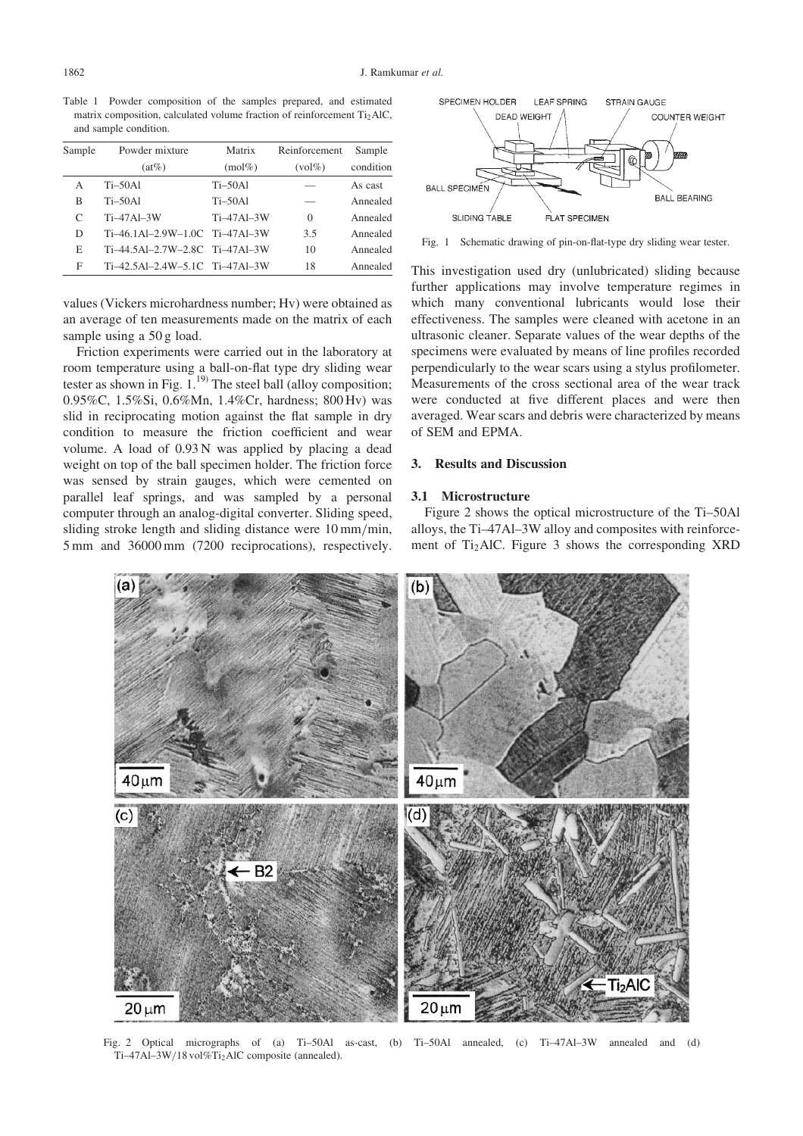Table 1 Powder composition of the samples prepared, and estimated matrix composition, calculated volume fraction of reinforcement  $Ti<sub>2</sub>AIC$ , and sample condition.

| Sample | Powder mixture                     | Matrix       | Reinforcement                  | Sample    |
|--------|------------------------------------|--------------|--------------------------------|-----------|
|        | $(at\%)$                           | $(mol\%)$    | $\left(\mathrm{vol} \%\right)$ | condition |
| А      | $Ti-50Al$                          | $Ti-50Al$    |                                | As cast   |
| B      | $Ti-50Al$                          | $Ti-50Al$    |                                | Annealed  |
| C      | $Ti-47Al-3W$                       | $Ti-47Al-3W$ | $\Omega$                       | Annealed  |
| D      | $Ti-46.1Al-2.9W-1.0C$ $Ti-47Al-3W$ |              | 3.5                            | Annealed  |
| E      | Ti-44.5Al-2.7W-2.8C Ti-47Al-3W     |              | 10                             | Annealed  |
| F      | Ti-42.5Al-2.4W-5.1C Ti-47Al-3W     |              | 18                             | Annealed  |

values (Vickers microhardness number; Hv) were obtained as an average of ten measurements made on the matrix of each sample using a 50 g load.

Friction experiments were carried out in the laboratory at room temperature using a ball-on-flat type dry sliding wear tester as shown in Fig.  $1$ <sup>19)</sup>. The steel ball (alloy composition; 0.95%C, 1.5%Si, 0.6%Mn, 1.4%Cr, hardness; 800 Hv) was slid in reciprocating motion against the flat sample in dry condition to measure the friction coefficient and wear volume. A load of 0.93 N was applied by placing a dead weight on top of the ball specimen holder. The friction force was sensed by strain gauges, which were cemented on parallel leaf springs, and was sampled by a personal computer through an analog-digital converter. Sliding speed, sliding stroke length and sliding distance were 10 mm/min, 5 mm and 36000 mm (7200 reciprocations), respectively.



Fig. 1 Schematic drawing of pin-on-flat-type dry sliding wear tester.

This investigation used dry (unlubricated) sliding because further applications may involve temperature regimes in which many conventional lubricants would lose their effectiveness. The samples were cleaned with acetone in an ultrasonic cleaner. Separate values of the wear depths of the specimens were evaluated by means of line profiles recorded perpendicularly to the wear scars using a stylus profilometer. Measurements of the cross sectional area of the wear track were conducted at five different places and were then averaged. Wear scars and debris were characterized by means of SEM and EPMA.

# 3. Results and Discussion

# 3.1 Microstructure

Figure 2 shows the optical microstructure of the Ti–50Al alloys, the Ti–47Al–3W alloy and composites with reinforcement of Ti<sub>2</sub>AlC. Figure 3 shows the corresponding XRD



Fig. 2 Optical micrographs of (a) Ti–50Al as-cast, (b) Ti–50Al annealed, (c) Ti–47Al–3W annealed and (d) Ti-47Al-3W/18 vol%Ti<sub>2</sub>AlC composite (annealed).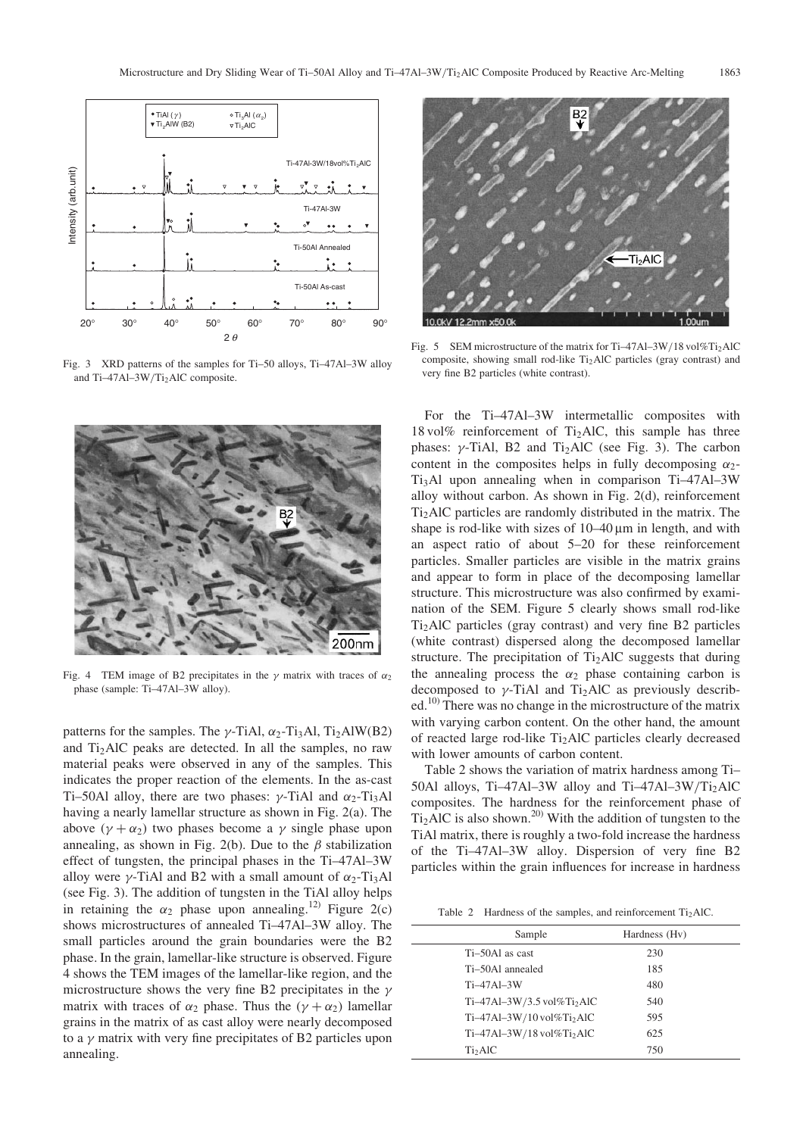

Fig. 3 XRD patterns of the samples for Ti–50 alloys, Ti–47Al–3W alloy and Ti-47Al-3W/Ti<sub>2</sub>AlC composite.



Fig. 4 TEM image of B2 precipitates in the  $\gamma$  matrix with traces of  $\alpha_2$ phase (sample: Ti–47Al–3W alloy).

patterns for the samples. The  $\gamma$ -TiAl,  $\alpha_2$ -Ti<sub>3</sub>Al, Ti<sub>2</sub>AlW(B2) and  $Ti<sub>2</sub>AIC$  peaks are detected. In all the samples, no raw material peaks were observed in any of the samples. This indicates the proper reaction of the elements. In the as-cast Ti–50Al alloy, there are two phases:  $\gamma$ -TiAl and  $\alpha_2$ -Ti<sub>3</sub>Al having a nearly lamellar structure as shown in Fig. 2(a). The above  $(\gamma + \alpha_2)$  two phases become a  $\gamma$  single phase upon annealing, as shown in Fig. 2(b). Due to the  $\beta$  stabilization effect of tungsten, the principal phases in the Ti–47Al–3W alloy were  $\gamma$ -TiAl and B2 with a small amount of  $\alpha_2$ -Ti<sub>3</sub>Al (see Fig. 3). The addition of tungsten in the TiAl alloy helps in retaining the  $\alpha_2$  phase upon annealing.<sup>12)</sup> Figure 2(c) shows microstructures of annealed Ti–47Al–3W alloy. The small particles around the grain boundaries were the B2 phase. In the grain, lamellar-like structure is observed. Figure 4 shows the TEM images of the lamellar-like region, and the microstructure shows the very fine B2 precipitates in the  $\gamma$ matrix with traces of  $\alpha_2$  phase. Thus the  $(\gamma + \alpha_2)$  lamellar grains in the matrix of as cast alloy were nearly decomposed to a  $\gamma$  matrix with very fine precipitates of B2 particles upon annealing.



Fig. 5 SEM microstructure of the matrix for Ti-47Al-3W/18 vol%Ti<sub>2</sub>AlC composite, showing small rod-like  $Ti<sub>2</sub>AIC$  particles (gray contrast) and very fine B2 particles (white contrast).

For the Ti–47Al–3W intermetallic composites with 18 vol% reinforcement of Ti<sub>2</sub>AlC, this sample has three phases:  $\gamma$ -TiAl, B2 and Ti<sub>2</sub>AlC (see Fig. 3). The carbon content in the composites helps in fully decomposing  $\alpha_2$ -Ti3Al upon annealing when in comparison Ti–47Al–3W alloy without carbon. As shown in Fig. 2(d), reinforcement Ti2AlC particles are randomly distributed in the matrix. The shape is rod-like with sizes of  $10-40 \,\mu m$  in length, and with an aspect ratio of about 5–20 for these reinforcement particles. Smaller particles are visible in the matrix grains and appear to form in place of the decomposing lamellar structure. This microstructure was also confirmed by examination of the SEM. Figure 5 clearly shows small rod-like Ti2AlC particles (gray contrast) and very fine B2 particles (white contrast) dispersed along the decomposed lamellar structure. The precipitation of  $Ti<sub>2</sub>AIC$  suggests that during the annealing process the  $\alpha_2$  phase containing carbon is decomposed to  $\gamma$ -TiAl and Ti<sub>2</sub>AlC as previously described.<sup>10)</sup> There was no change in the microstructure of the matrix with varying carbon content. On the other hand, the amount of reacted large rod-like Ti<sub>2</sub>AlC particles clearly decreased with lower amounts of carbon content.

Table 2 shows the variation of matrix hardness among Ti– 50Al alloys, Ti-47Al-3W alloy and Ti-47Al-3W/Ti2AlC composites. The hardness for the reinforcement phase of  $Ti<sub>2</sub>AIC$  is also shown.<sup>20)</sup> With the addition of tungsten to the TiAl matrix, there is roughly a two-fold increase the hardness of the Ti–47Al–3W alloy. Dispersion of very fine B2 particles within the grain influences for increase in hardness

Table 2 Hardness of the samples, and reinforcement  $Ti<sub>2</sub>AIC$ .

| Sample                                 | Hardness (Hv) |  |
|----------------------------------------|---------------|--|
| Ti-50Al as cast                        | 230           |  |
| Ti-50Al annealed                       | 185           |  |
| $Ti-47Al-3W$                           | 480           |  |
| Ti-47Al-3W/3.5 vol%Ti <sub>2</sub> AlC | 540           |  |
| $Ti-47Al-3W/10$ vol% $Ti2AlC$          | 595           |  |
| Ti-47Al-3W/18 vol%Ti <sub>2</sub> AlC  | 625           |  |
| Ti <sub>2</sub> AIC                    | 750           |  |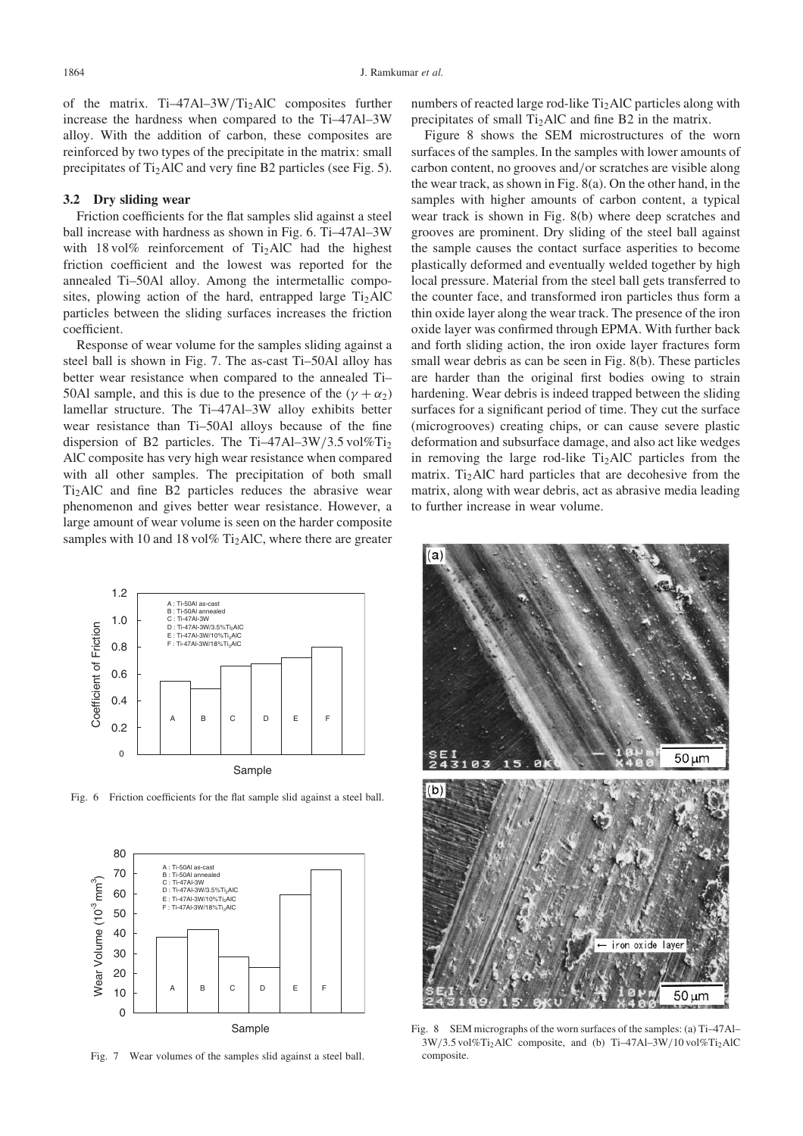of the matrix. Ti-47Al-3W/Ti<sub>2</sub>AlC composites further increase the hardness when compared to the Ti–47Al–3W alloy. With the addition of carbon, these composites are reinforced by two types of the precipitate in the matrix: small precipitates of Ti<sub>2</sub>AlC and very fine B2 particles (see Fig. 5).

#### 3.2 Dry sliding wear

Friction coefficients for the flat samples slid against a steel ball increase with hardness as shown in Fig. 6. Ti–47Al–3W with  $18 \text{ vol}\%$  reinforcement of Ti<sub>2</sub>AlC had the highest friction coefficient and the lowest was reported for the annealed Ti–50Al alloy. Among the intermetallic composites, plowing action of the hard, entrapped large  $Ti<sub>2</sub>AIC$ particles between the sliding surfaces increases the friction coefficient.

Response of wear volume for the samples sliding against a steel ball is shown in Fig. 7. The as-cast Ti–50Al alloy has better wear resistance when compared to the annealed Ti– 50Al sample, and this is due to the presence of the  $(\gamma + \alpha_2)$ lamellar structure. The Ti–47Al–3W alloy exhibits better wear resistance than Ti–50Al alloys because of the fine dispersion of B2 particles. The Ti-47Al-3W/3.5 vol%Ti<sub>2</sub> AlC composite has very high wear resistance when compared with all other samples. The precipitation of both small  $Ti<sub>2</sub>AIC$  and fine B2 particles reduces the abrasive wear phenomenon and gives better wear resistance. However, a large amount of wear volume is seen on the harder composite samples with 10 and 18 vol%  $Ti<sub>2</sub>AIC$ , where there are greater



Fig. 6 Friction coefficients for the flat sample slid against a steel ball.



Fig. 7 Wear volumes of the samples slid against a steel ball.

numbers of reacted large rod-like  $Ti<sub>2</sub>AIC$  particles along with precipitates of small  $Ti<sub>2</sub>AIC$  and fine B2 in the matrix.

Figure 8 shows the SEM microstructures of the worn surfaces of the samples. In the samples with lower amounts of carbon content, no grooves and/or scratches are visible along the wear track, as shown in Fig. 8(a). On the other hand, in the samples with higher amounts of carbon content, a typical wear track is shown in Fig. 8(b) where deep scratches and grooves are prominent. Dry sliding of the steel ball against the sample causes the contact surface asperities to become plastically deformed and eventually welded together by high local pressure. Material from the steel ball gets transferred to the counter face, and transformed iron particles thus form a thin oxide layer along the wear track. The presence of the iron oxide layer was confirmed through EPMA. With further back and forth sliding action, the iron oxide layer fractures form small wear debris as can be seen in Fig. 8(b). These particles are harder than the original first bodies owing to strain hardening. Wear debris is indeed trapped between the sliding surfaces for a significant period of time. They cut the surface (microgrooves) creating chips, or can cause severe plastic deformation and subsurface damage, and also act like wedges in removing the large rod-like  $Ti<sub>2</sub>AIC$  particles from the matrix. Ti<sub>2</sub>AlC hard particles that are decohesive from the matrix, along with wear debris, act as abrasive media leading to further increase in wear volume.



Fig. 8 SEM micrographs of the worn surfaces of the samples: (a) Ti–47Al– 3W/3.5 vol%Ti2AlC composite, and (b) Ti–47Al–3W/10 vol%Ti2AlC composite.